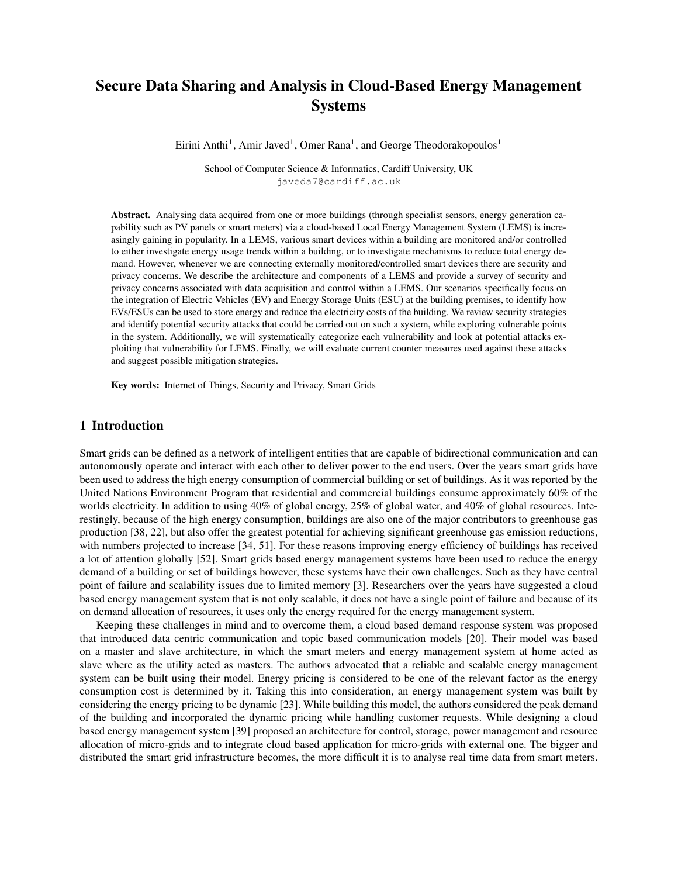# **Secure Data Sharing and Analysis in Cloud-Based Energy Management Systems**

Eirini Anthi<sup>1</sup>, Amir Javed<sup>1</sup>, Omer Rana<sup>1</sup>, and George Theodorakopoulos<sup>1</sup>

School of Computer Science & Informatics, Cardiff University, UK javeda7@cardiff.ac.uk

**Abstract.** Analysing data acquired from one or more buildings (through specialist sensors, energy generation capability such as PV panels or smart meters) via a cloud-based Local Energy Management System (LEMS) is increasingly gaining in popularity. In a LEMS, various smart devices within a building are monitored and/or controlled to either investigate energy usage trends within a building, or to investigate mechanisms to reduce total energy demand. However, whenever we are connecting externally monitored/controlled smart devices there are security and privacy concerns. We describe the architecture and components of a LEMS and provide a survey of security and privacy concerns associated with data acquisition and control within a LEMS. Our scenarios specifically focus on the integration of Electric Vehicles (EV) and Energy Storage Units (ESU) at the building premises, to identify how EVs/ESUs can be used to store energy and reduce the electricity costs of the building. We review security strategies and identify potential security attacks that could be carried out on such a system, while exploring vulnerable points in the system. Additionally, we will systematically categorize each vulnerability and look at potential attacks exploiting that vulnerability for LEMS. Finally, we will evaluate current counter measures used against these attacks and suggest possible mitigation strategies.

**Key words:** Internet of Things, Security and Privacy, Smart Grids

# **1 Introduction**

Smart grids can be defined as a network of intelligent entities that are capable of bidirectional communication and can autonomously operate and interact with each other to deliver power to the end users. Over the years smart grids have been used to address the high energy consumption of commercial building or set of buildings. As it was reported by the United Nations Environment Program that residential and commercial buildings consume approximately 60% of the worlds electricity. In addition to using 40% of global energy, 25% of global water, and 40% of global resources. Interestingly, because of the high energy consumption, buildings are also one of the major contributors to greenhouse gas production [38, 22], but also offer the greatest potential for achieving significant greenhouse gas emission reductions, with numbers projected to increase [34, 51]. For these reasons improving energy efficiency of buildings has received a lot of attention globally [52]. Smart grids based energy management systems have been used to reduce the energy demand of a building or set of buildings however, these systems have their own challenges. Such as they have central point of failure and scalability issues due to limited memory [3]. Researchers over the years have suggested a cloud based energy management system that is not only scalable, it does not have a single point of failure and because of its on demand allocation of resources, it uses only the energy required for the energy management system.

Keeping these challenges in mind and to overcome them, a cloud based demand response system was proposed that introduced data centric communication and topic based communication models [20]. Their model was based on a master and slave architecture, in which the smart meters and energy management system at home acted as slave where as the utility acted as masters. The authors advocated that a reliable and scalable energy management system can be built using their model. Energy pricing is considered to be one of the relevant factor as the energy consumption cost is determined by it. Taking this into consideration, an energy management system was built by considering the energy pricing to be dynamic [23]. While building this model, the authors considered the peak demand of the building and incorporated the dynamic pricing while handling customer requests. While designing a cloud based energy management system [39] proposed an architecture for control, storage, power management and resource allocation of micro-grids and to integrate cloud based application for micro-grids with external one. The bigger and distributed the smart grid infrastructure becomes, the more difficult it is to analyse real time data from smart meters.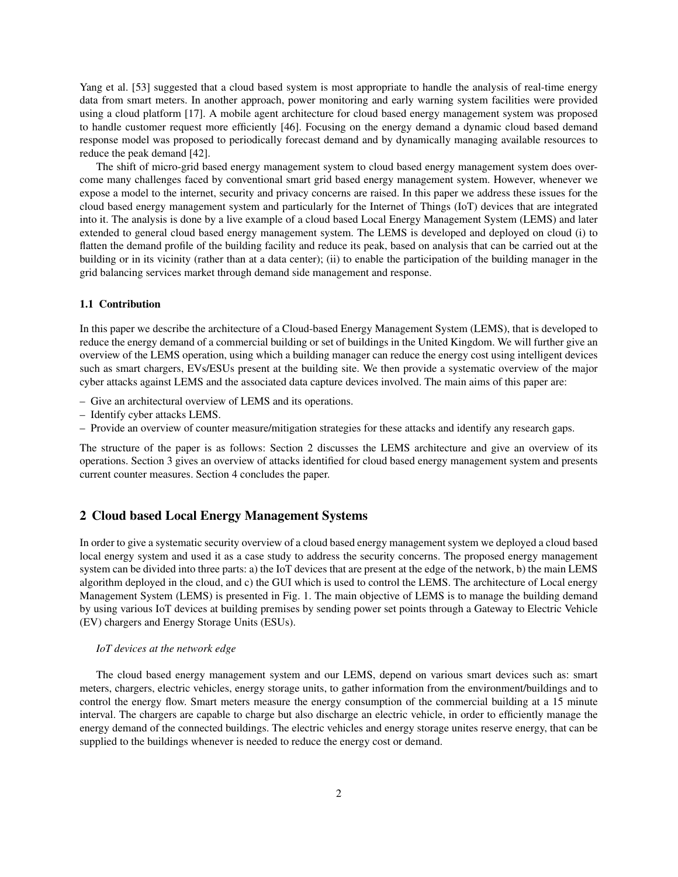Yang et al. [53] suggested that a cloud based system is most appropriate to handle the analysis of real-time energy data from smart meters. In another approach, power monitoring and early warning system facilities were provided using a cloud platform [17]. A mobile agent architecture for cloud based energy management system was proposed to handle customer request more efficiently [46]. Focusing on the energy demand a dynamic cloud based demand response model was proposed to periodically forecast demand and by dynamically managing available resources to reduce the peak demand [42].

The shift of micro-grid based energy management system to cloud based energy management system does overcome many challenges faced by conventional smart grid based energy management system. However, whenever we expose a model to the internet, security and privacy concerns are raised. In this paper we address these issues for the cloud based energy management system and particularly for the Internet of Things (IoT) devices that are integrated into it. The analysis is done by a live example of a cloud based Local Energy Management System (LEMS) and later extended to general cloud based energy management system. The LEMS is developed and deployed on cloud (i) to flatten the demand profile of the building facility and reduce its peak, based on analysis that can be carried out at the building or in its vicinity (rather than at a data center); (ii) to enable the participation of the building manager in the grid balancing services market through demand side management and response.

## **1.1 Contribution**

In this paper we describe the architecture of a Cloud-based Energy Management System (LEMS), that is developed to reduce the energy demand of a commercial building or set of buildings in the United Kingdom. We will further give an overview of the LEMS operation, using which a building manager can reduce the energy cost using intelligent devices such as smart chargers, EVs/ESUs present at the building site. We then provide a systematic overview of the major cyber attacks against LEMS and the associated data capture devices involved. The main aims of this paper are:

- Give an architectural overview of LEMS and its operations.
- Identify cyber attacks LEMS.
- Provide an overview of counter measure/mitigation strategies for these attacks and identify any research gaps.

The structure of the paper is as follows: Section 2 discusses the LEMS architecture and give an overview of its operations. Section 3 gives an overview of attacks identified for cloud based energy management system and presents current counter measures. Section 4 concludes the paper.

## **2 Cloud based Local Energy Management Systems**

In order to give a systematic security overview of a cloud based energy management system we deployed a cloud based local energy system and used it as a case study to address the security concerns. The proposed energy management system can be divided into three parts: a) the IoT devices that are present at the edge of the network, b) the main LEMS algorithm deployed in the cloud, and c) the GUI which is used to control the LEMS. The architecture of Local energy Management System (LEMS) is presented in Fig. 1. The main objective of LEMS is to manage the building demand by using various IoT devices at building premises by sending power set points through a Gateway to Electric Vehicle (EV) chargers and Energy Storage Units (ESUs).

#### *IoT devices at the network edge*

The cloud based energy management system and our LEMS, depend on various smart devices such as: smart meters, chargers, electric vehicles, energy storage units, to gather information from the environment/buildings and to control the energy flow. Smart meters measure the energy consumption of the commercial building at a 15 minute interval. The chargers are capable to charge but also discharge an electric vehicle, in order to efficiently manage the energy demand of the connected buildings. The electric vehicles and energy storage unites reserve energy, that can be supplied to the buildings whenever is needed to reduce the energy cost or demand.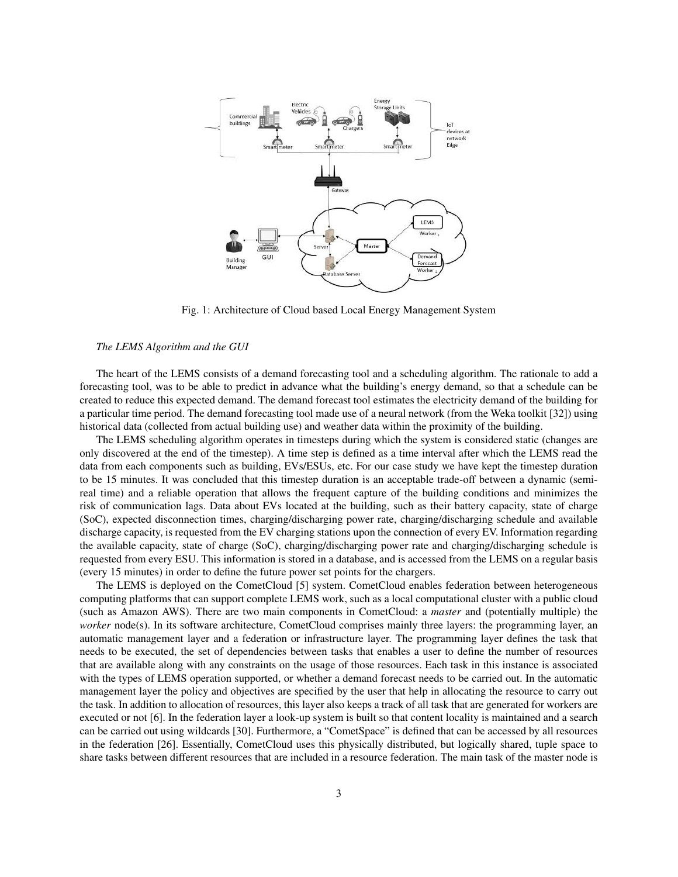

Fig. 1: Architecture of Cloud based Local Energy Management System

#### *The LEMS Algorithm and the GUI*

The heart of the LEMS consists of a demand forecasting tool and a scheduling algorithm. The rationale to add a forecasting tool, was to be able to predict in advance what the building's energy demand, so that a schedule can be created to reduce this expected demand. The demand forecast tool estimates the electricity demand of the building for a particular time period. The demand forecasting tool made use of a neural network (from the Weka toolkit [32]) using historical data (collected from actual building use) and weather data within the proximity of the building.

The LEMS scheduling algorithm operates in timesteps during which the system is considered static (changes are only discovered at the end of the timestep). A time step is defined as a time interval after which the LEMS read the data from each components such as building, EVs/ESUs, etc. For our case study we have kept the timestep duration to be 15 minutes. It was concluded that this timestep duration is an acceptable trade-off between a dynamic (semireal time) and a reliable operation that allows the frequent capture of the building conditions and minimizes the risk of communication lags. Data about EVs located at the building, such as their battery capacity, state of charge (SoC), expected disconnection times, charging/discharging power rate, charging/discharging schedule and available discharge capacity, is requested from the EV charging stations upon the connection of every EV. Information regarding the available capacity, state of charge (SoC), charging/discharging power rate and charging/discharging schedule is requested from every ESU. This information is stored in a database, and is accessed from the LEMS on a regular basis (every 15 minutes) in order to define the future power set points for the chargers.

The LEMS is deployed on the CometCloud [5] system. CometCloud enables federation between heterogeneous computing platforms that can support complete LEMS work, such as a local computational cluster with a public cloud (such as Amazon AWS). There are two main components in CometCloud: a *master* and (potentially multiple) the *worker* node(s). In its software architecture, CometCloud comprises mainly three layers: the programming layer, an automatic management layer and a federation or infrastructure layer. The programming layer defines the task that needs to be executed, the set of dependencies between tasks that enables a user to define the number of resources that are available along with any constraints on the usage of those resources. Each task in this instance is associated with the types of LEMS operation supported, or whether a demand forecast needs to be carried out. In the automatic management layer the policy and objectives are specified by the user that help in allocating the resource to carry out the task. In addition to allocation of resources, this layer also keeps a track of all task that are generated for workers are executed or not [6]. In the federation layer a look-up system is built so that content locality is maintained and a search can be carried out using wildcards [30]. Furthermore, a "CometSpace" is defined that can be accessed by all resources in the federation [26]. Essentially, CometCloud uses this physically distributed, but logically shared, tuple space to share tasks between different resources that are included in a resource federation. The main task of the master node is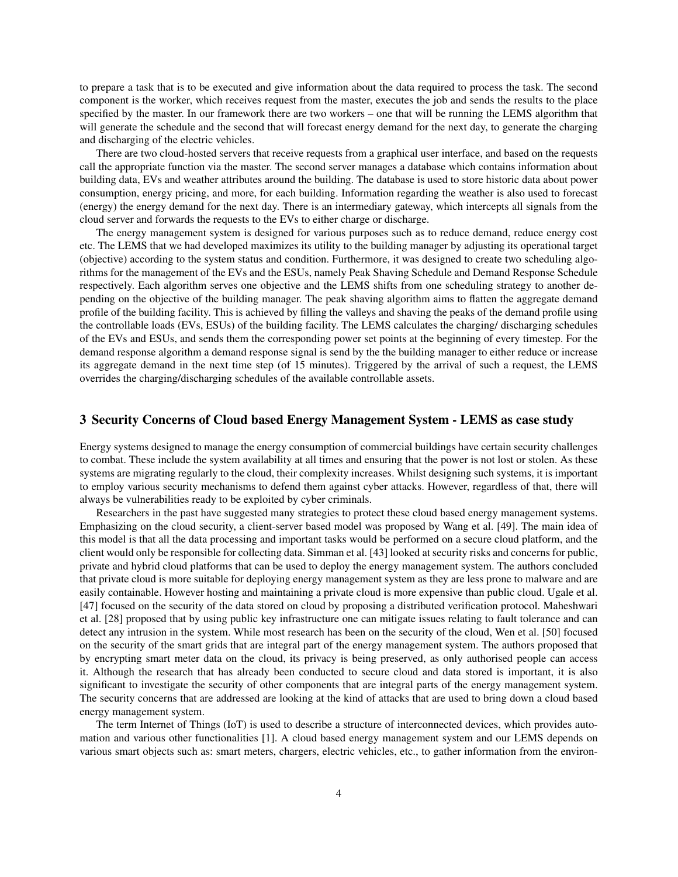to prepare a task that is to be executed and give information about the data required to process the task. The second component is the worker, which receives request from the master, executes the job and sends the results to the place specified by the master. In our framework there are two workers – one that will be running the LEMS algorithm that will generate the schedule and the second that will forecast energy demand for the next day, to generate the charging and discharging of the electric vehicles.

There are two cloud-hosted servers that receive requests from a graphical user interface, and based on the requests call the appropriate function via the master. The second server manages a database which contains information about building data, EVs and weather attributes around the building. The database is used to store historic data about power consumption, energy pricing, and more, for each building. Information regarding the weather is also used to forecast (energy) the energy demand for the next day. There is an intermediary gateway, which intercepts all signals from the cloud server and forwards the requests to the EVs to either charge or discharge.

The energy management system is designed for various purposes such as to reduce demand, reduce energy cost etc. The LEMS that we had developed maximizes its utility to the building manager by adjusting its operational target (objective) according to the system status and condition. Furthermore, it was designed to create two scheduling algorithms for the management of the EVs and the ESUs, namely Peak Shaving Schedule and Demand Response Schedule respectively. Each algorithm serves one objective and the LEMS shifts from one scheduling strategy to another depending on the objective of the building manager. The peak shaving algorithm aims to flatten the aggregate demand profile of the building facility. This is achieved by filling the valleys and shaving the peaks of the demand profile using the controllable loads (EVs, ESUs) of the building facility. The LEMS calculates the charging/ discharging schedules of the EVs and ESUs, and sends them the corresponding power set points at the beginning of every timestep. For the demand response algorithm a demand response signal is send by the the building manager to either reduce or increase its aggregate demand in the next time step (of 15 minutes). Triggered by the arrival of such a request, the LEMS overrides the charging/discharging schedules of the available controllable assets.

## **3 Security Concerns of Cloud based Energy Management System - LEMS as case study**

Energy systems designed to manage the energy consumption of commercial buildings have certain security challenges to combat. These include the system availability at all times and ensuring that the power is not lost or stolen. As these systems are migrating regularly to the cloud, their complexity increases. Whilst designing such systems, it is important to employ various security mechanisms to defend them against cyber attacks. However, regardless of that, there will always be vulnerabilities ready to be exploited by cyber criminals.

Researchers in the past have suggested many strategies to protect these cloud based energy management systems. Emphasizing on the cloud security, a client-server based model was proposed by Wang et al. [49]. The main idea of this model is that all the data processing and important tasks would be performed on a secure cloud platform, and the client would only be responsible for collecting data. Simman et al. [43] looked at security risks and concerns for public, private and hybrid cloud platforms that can be used to deploy the energy management system. The authors concluded that private cloud is more suitable for deploying energy management system as they are less prone to malware and are easily containable. However hosting and maintaining a private cloud is more expensive than public cloud. Ugale et al. [47] focused on the security of the data stored on cloud by proposing a distributed verification protocol. Maheshwari et al. [28] proposed that by using public key infrastructure one can mitigate issues relating to fault tolerance and can detect any intrusion in the system. While most research has been on the security of the cloud, Wen et al. [50] focused on the security of the smart grids that are integral part of the energy management system. The authors proposed that by encrypting smart meter data on the cloud, its privacy is being preserved, as only authorised people can access it. Although the research that has already been conducted to secure cloud and data stored is important, it is also significant to investigate the security of other components that are integral parts of the energy management system. The security concerns that are addressed are looking at the kind of attacks that are used to bring down a cloud based energy management system.

The term Internet of Things (IoT) is used to describe a structure of interconnected devices, which provides automation and various other functionalities [1]. A cloud based energy management system and our LEMS depends on various smart objects such as: smart meters, chargers, electric vehicles, etc., to gather information from the environ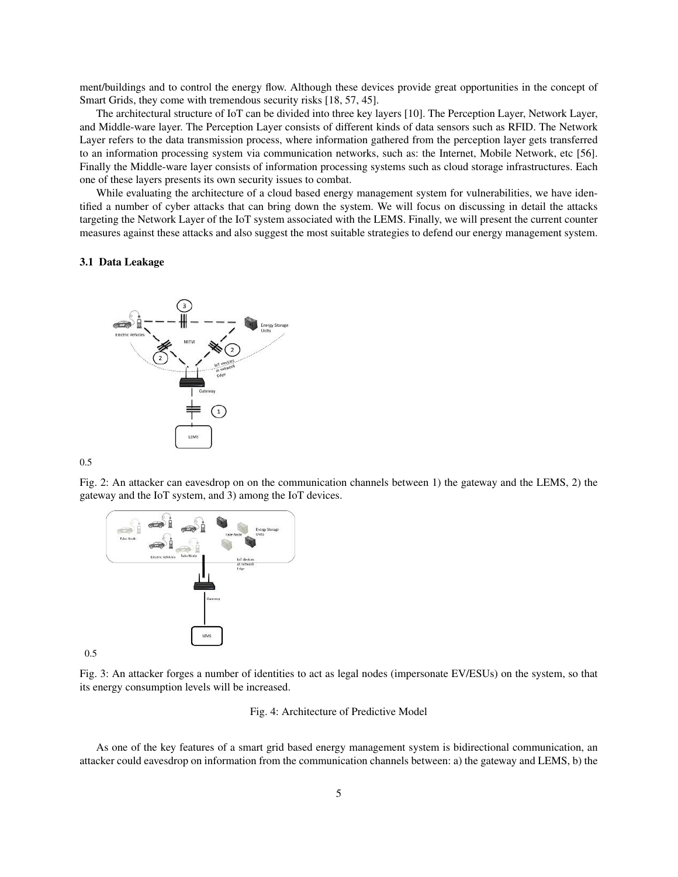ment/buildings and to control the energy flow. Although these devices provide great opportunities in the concept of Smart Grids, they come with tremendous security risks [18, 57, 45].

The architectural structure of IoT can be divided into three key layers [10]. The Perception Layer, Network Layer, and Middle-ware layer. The Perception Layer consists of different kinds of data sensors such as RFID. The Network Layer refers to the data transmission process, where information gathered from the perception layer gets transferred to an information processing system via communication networks, such as: the Internet, Mobile Network, etc [56]. Finally the Middle-ware layer consists of information processing systems such as cloud storage infrastructures. Each one of these layers presents its own security issues to combat.

While evaluating the architecture of a cloud based energy management system for vulnerabilities, we have identified a number of cyber attacks that can bring down the system. We will focus on discussing in detail the attacks targeting the Network Layer of the IoT system associated with the LEMS. Finally, we will present the current counter measures against these attacks and also suggest the most suitable strategies to defend our energy management system.

## **3.1 Data Leakage**



Fig. 2: An attacker can eavesdrop on on the communication channels between 1) the gateway and the LEMS, 2) the gateway and the IoT system, and 3) among the IoT devices.



0.5

0.5

Fig. 3: An attacker forges a number of identities to act as legal nodes (impersonate EV/ESUs) on the system, so that its energy consumption levels will be increased.

## Fig. 4: Architecture of Predictive Model

As one of the key features of a smart grid based energy management system is bidirectional communication, an attacker could eavesdrop on information from the communication channels between: a) the gateway and LEMS, b) the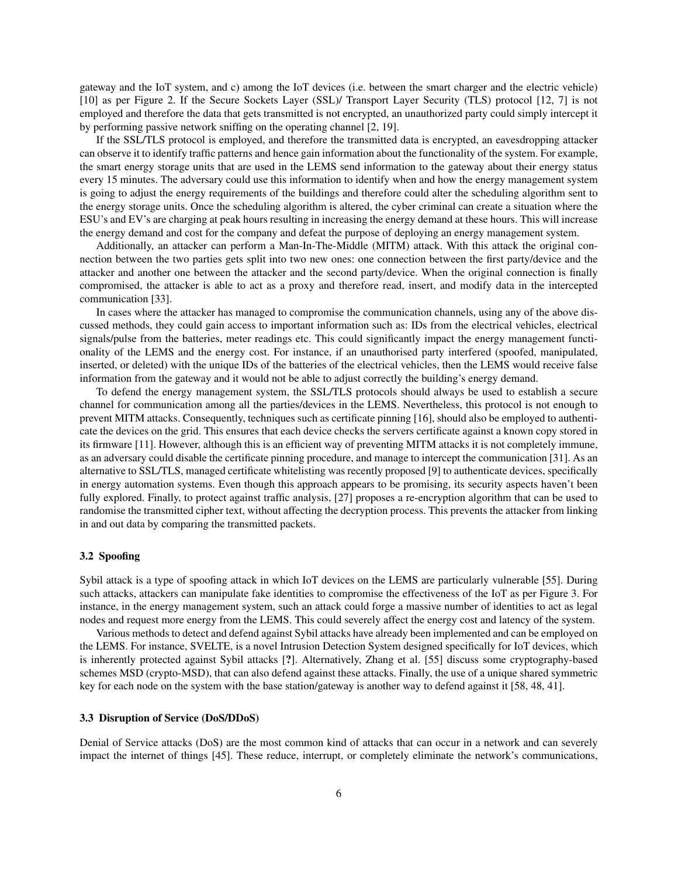gateway and the IoT system, and c) among the IoT devices (i.e. between the smart charger and the electric vehicle) [10] as per Figure 2. If the Secure Sockets Layer (SSL)/ Transport Layer Security (TLS) protocol [12, 7] is not employed and therefore the data that gets transmitted is not encrypted, an unauthorized party could simply intercept it by performing passive network sniffing on the operating channel [2, 19].

If the SSL/TLS protocol is employed, and therefore the transmitted data is encrypted, an eavesdropping attacker can observe it to identify traffic patterns and hence gain information about the functionality of the system. For example, the smart energy storage units that are used in the LEMS send information to the gateway about their energy status every 15 minutes. The adversary could use this information to identify when and how the energy management system is going to adjust the energy requirements of the buildings and therefore could alter the scheduling algorithm sent to the energy storage units. Once the scheduling algorithm is altered, the cyber criminal can create a situation where the ESU's and EV's are charging at peak hours resulting in increasing the energy demand at these hours. This will increase the energy demand and cost for the company and defeat the purpose of deploying an energy management system.

Additionally, an attacker can perform a Man-In-The-Middle (MITM) attack. With this attack the original connection between the two parties gets split into two new ones: one connection between the first party/device and the attacker and another one between the attacker and the second party/device. When the original connection is finally compromised, the attacker is able to act as a proxy and therefore read, insert, and modify data in the intercepted communication [33].

In cases where the attacker has managed to compromise the communication channels, using any of the above discussed methods, they could gain access to important information such as: IDs from the electrical vehicles, electrical signals/pulse from the batteries, meter readings etc. This could significantly impact the energy management functionality of the LEMS and the energy cost. For instance, if an unauthorised party interfered (spoofed, manipulated, inserted, or deleted) with the unique IDs of the batteries of the electrical vehicles, then the LEMS would receive false information from the gateway and it would not be able to adjust correctly the building's energy demand.

To defend the energy management system, the SSL/TLS protocols should always be used to establish a secure channel for communication among all the parties/devices in the LEMS. Nevertheless, this protocol is not enough to prevent MITM attacks. Consequently, techniques such as certificate pinning [16], should also be employed to authenticate the devices on the grid. This ensures that each device checks the servers certificate against a known copy stored in its firmware [11]. However, although this is an efficient way of preventing MITM attacks it is not completely immune, as an adversary could disable the certificate pinning procedure, and manage to intercept the communication [31]. As an alternative to SSL/TLS, managed certificate whitelisting was recently proposed [9] to authenticate devices, specifically in energy automation systems. Even though this approach appears to be promising, its security aspects haven't been fully explored. Finally, to protect against traffic analysis, [27] proposes a re-encryption algorithm that can be used to randomise the transmitted cipher text, without affecting the decryption process. This prevents the attacker from linking in and out data by comparing the transmitted packets.

## **3.2 Spoofing**

Sybil attack is a type of spoofing attack in which IoT devices on the LEMS are particularly vulnerable [55]. During such attacks, attackers can manipulate fake identities to compromise the effectiveness of the IoT as per Figure 3. For instance, in the energy management system, such an attack could forge a massive number of identities to act as legal nodes and request more energy from the LEMS. This could severely affect the energy cost and latency of the system.

Various methods to detect and defend against Sybil attacks have already been implemented and can be employed on the LEMS. For instance, SVELTE, is a novel Intrusion Detection System designed specifically for IoT devices, which is inherently protected against Sybil attacks [**?**]. Alternatively, Zhang et al. [55] discuss some cryptography-based schemes MSD (crypto-MSD), that can also defend against these attacks. Finally, the use of a unique shared symmetric key for each node on the system with the base station/gateway is another way to defend against it [58, 48, 41].

## **3.3 Disruption of Service (DoS/DDoS)**

Denial of Service attacks (DoS) are the most common kind of attacks that can occur in a network and can severely impact the internet of things [45]. These reduce, interrupt, or completely eliminate the network's communications,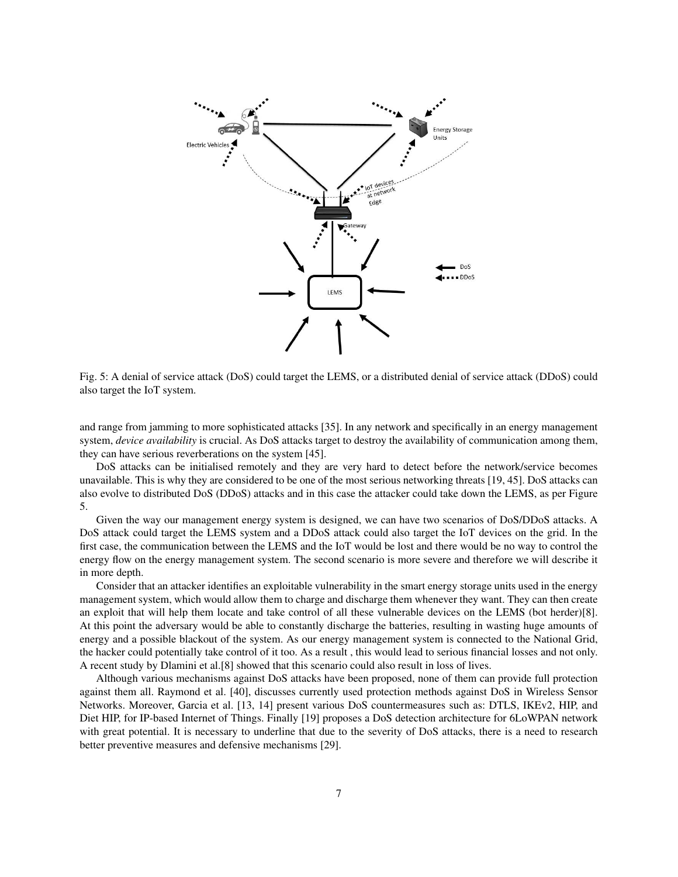

Fig. 5: A denial of service attack (DoS) could target the LEMS, or a distributed denial of service attack (DDoS) could also target the IoT system.

and range from jamming to more sophisticated attacks [35]. In any network and specifically in an energy management system, *device availability* is crucial. As DoS attacks target to destroy the availability of communication among them, they can have serious reverberations on the system [45].

DoS attacks can be initialised remotely and they are very hard to detect before the network/service becomes unavailable. This is why they are considered to be one of the most serious networking threats [19, 45]. DoS attacks can also evolve to distributed DoS (DDoS) attacks and in this case the attacker could take down the LEMS, as per Figure 5.

Given the way our management energy system is designed, we can have two scenarios of DoS/DDoS attacks. A DoS attack could target the LEMS system and a DDoS attack could also target the IoT devices on the grid. In the first case, the communication between the LEMS and the IoT would be lost and there would be no way to control the energy flow on the energy management system. The second scenario is more severe and therefore we will describe it in more depth.

Consider that an attacker identifies an exploitable vulnerability in the smart energy storage units used in the energy management system, which would allow them to charge and discharge them whenever they want. They can then create an exploit that will help them locate and take control of all these vulnerable devices on the LEMS (bot herder)[8]. At this point the adversary would be able to constantly discharge the batteries, resulting in wasting huge amounts of energy and a possible blackout of the system. As our energy management system is connected to the National Grid, the hacker could potentially take control of it too. As a result , this would lead to serious financial losses and not only. A recent study by Dlamini et al.[8] showed that this scenario could also result in loss of lives.

Although various mechanisms against DoS attacks have been proposed, none of them can provide full protection against them all. Raymond et al. [40], discusses currently used protection methods against DoS in Wireless Sensor Networks. Moreover, Garcia et al. [13, 14] present various DoS countermeasures such as: DTLS, IKEv2, HIP, and Diet HIP, for IP-based Internet of Things. Finally [19] proposes a DoS detection architecture for 6LoWPAN network with great potential. It is necessary to underline that due to the severity of DoS attacks, there is a need to research better preventive measures and defensive mechanisms [29].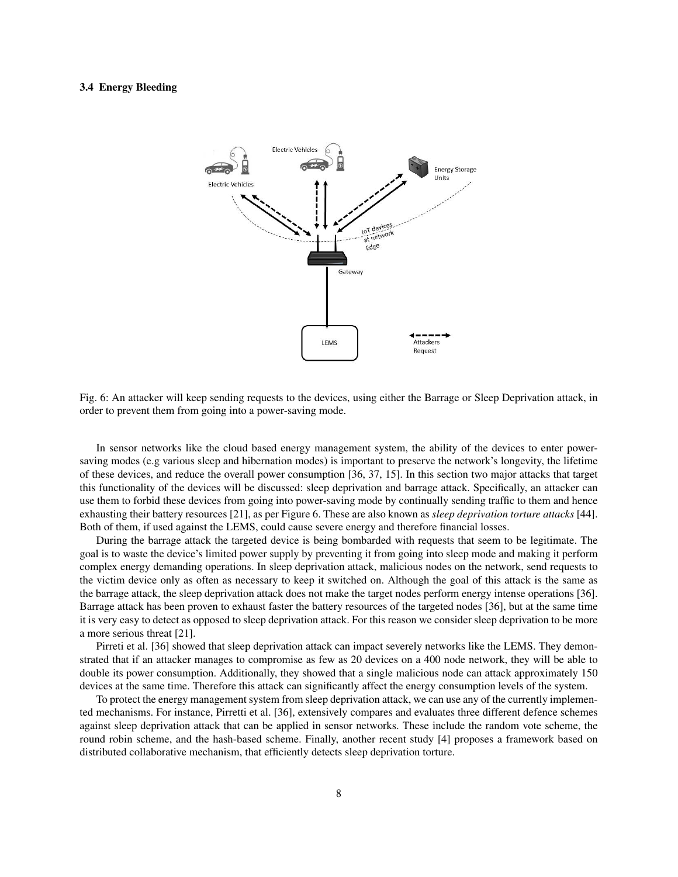## **3.4 Energy Bleeding**



Fig. 6: An attacker will keep sending requests to the devices, using either the Barrage or Sleep Deprivation attack, in order to prevent them from going into a power-saving mode.

In sensor networks like the cloud based energy management system, the ability of the devices to enter powersaving modes (e.g various sleep and hibernation modes) is important to preserve the network's longevity, the lifetime of these devices, and reduce the overall power consumption [36, 37, 15]. In this section two major attacks that target this functionality of the devices will be discussed: sleep deprivation and barrage attack. Specifically, an attacker can use them to forbid these devices from going into power-saving mode by continually sending traffic to them and hence exhausting their battery resources [21], as per Figure 6. These are also known as *sleep deprivation torture attacks* [44]. Both of them, if used against the LEMS, could cause severe energy and therefore financial losses.

During the barrage attack the targeted device is being bombarded with requests that seem to be legitimate. The goal is to waste the device's limited power supply by preventing it from going into sleep mode and making it perform complex energy demanding operations. In sleep deprivation attack, malicious nodes on the network, send requests to the victim device only as often as necessary to keep it switched on. Although the goal of this attack is the same as the barrage attack, the sleep deprivation attack does not make the target nodes perform energy intense operations [36]. Barrage attack has been proven to exhaust faster the battery resources of the targeted nodes [36], but at the same time it is very easy to detect as opposed to sleep deprivation attack. For this reason we consider sleep deprivation to be more a more serious threat [21].

Pirreti et al. [36] showed that sleep deprivation attack can impact severely networks like the LEMS. They demonstrated that if an attacker manages to compromise as few as 20 devices on a 400 node network, they will be able to double its power consumption. Additionally, they showed that a single malicious node can attack approximately 150 devices at the same time. Therefore this attack can significantly affect the energy consumption levels of the system.

To protect the energy management system from sleep deprivation attack, we can use any of the currently implemented mechanisms. For instance, Pirretti et al. [36], extensively compares and evaluates three different defence schemes against sleep deprivation attack that can be applied in sensor networks. These include the random vote scheme, the round robin scheme, and the hash-based scheme. Finally, another recent study [4] proposes a framework based on distributed collaborative mechanism, that efficiently detects sleep deprivation torture.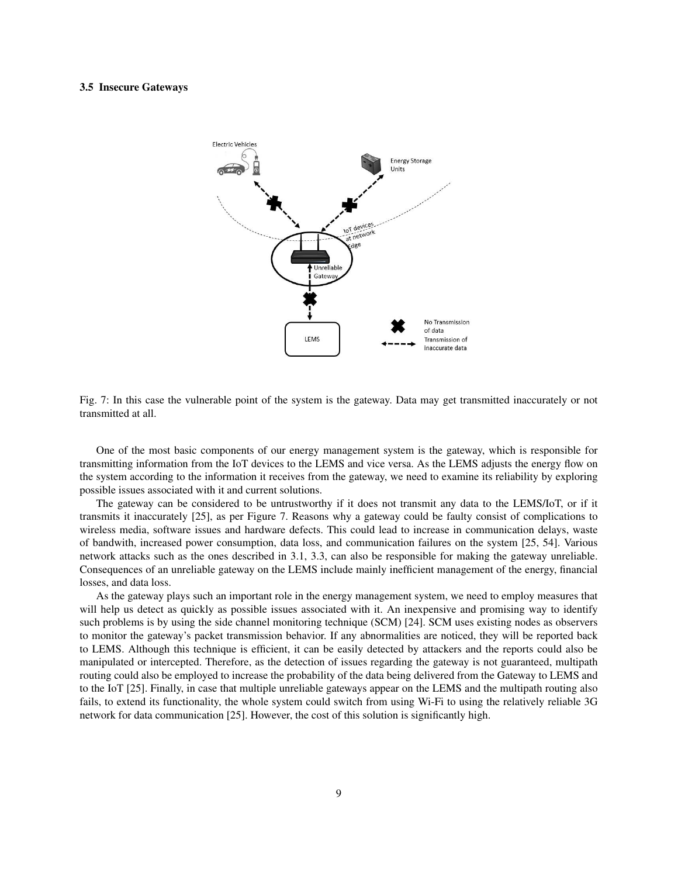#### **3.5 Insecure Gateways**





One of the most basic components of our energy management system is the gateway, which is responsible for transmitting information from the IoT devices to the LEMS and vice versa. As the LEMS adjusts the energy flow on the system according to the information it receives from the gateway, we need to examine its reliability by exploring possible issues associated with it and current solutions.

The gateway can be considered to be untrustworthy if it does not transmit any data to the LEMS/IoT, or if it transmits it inaccurately [25], as per Figure 7. Reasons why a gateway could be faulty consist of complications to wireless media, software issues and hardware defects. This could lead to increase in communication delays, waste of bandwith, increased power consumption, data loss, and communication failures on the system [25, 54]. Various network attacks such as the ones described in 3.1, 3.3, can also be responsible for making the gateway unreliable. Consequences of an unreliable gateway on the LEMS include mainly inefficient management of the energy, financial losses, and data loss.

As the gateway plays such an important role in the energy management system, we need to employ measures that will help us detect as quickly as possible issues associated with it. An inexpensive and promising way to identify such problems is by using the side channel monitoring technique (SCM) [24]. SCM uses existing nodes as observers to monitor the gateway's packet transmission behavior. If any abnormalities are noticed, they will be reported back to LEMS. Although this technique is efficient, it can be easily detected by attackers and the reports could also be manipulated or intercepted. Therefore, as the detection of issues regarding the gateway is not guaranteed, multipath routing could also be employed to increase the probability of the data being delivered from the Gateway to LEMS and to the IoT [25]. Finally, in case that multiple unreliable gateways appear on the LEMS and the multipath routing also fails, to extend its functionality, the whole system could switch from using Wi-Fi to using the relatively reliable 3G network for data communication [25]. However, the cost of this solution is significantly high.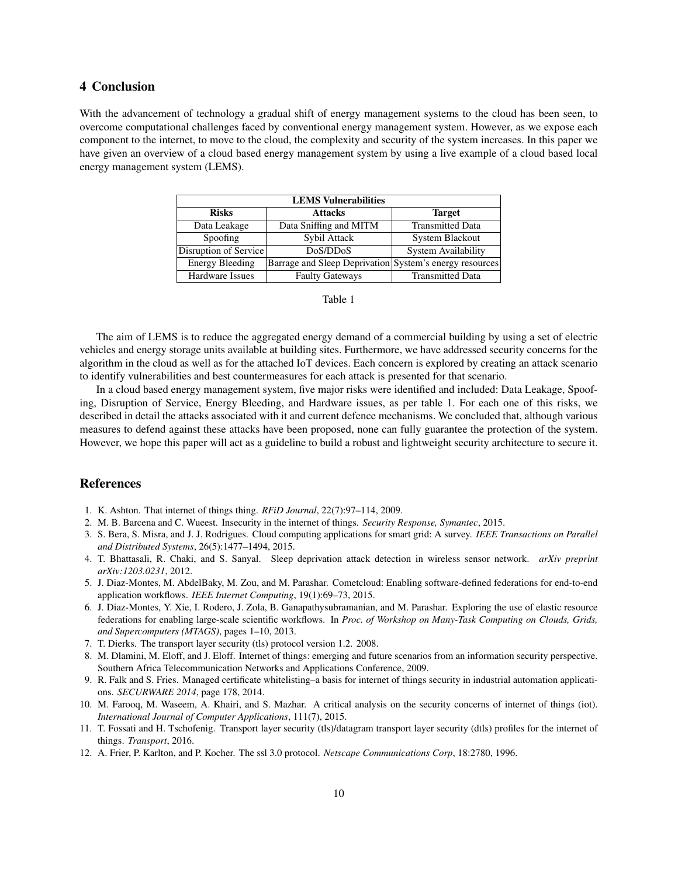# **4 Conclusion**

With the advancement of technology a gradual shift of energy management systems to the cloud has been seen, to overcome computational challenges faced by conventional energy management system. However, as we expose each component to the internet, to move to the cloud, the complexity and security of the system increases. In this paper we have given an overview of a cloud based energy management system by using a live example of a cloud based local energy management system (LEMS).

| <b>LEMS</b> Vulnerabilities |                                                         |                            |
|-----------------------------|---------------------------------------------------------|----------------------------|
| <b>Risks</b>                | <b>Attacks</b>                                          | <b>Target</b>              |
| Data Leakage                | Data Sniffing and MITM                                  | <b>Transmitted Data</b>    |
| Spoofing                    | Sybil Attack                                            | <b>System Blackout</b>     |
| Disruption of Service       | DoS/DDoS                                                | <b>System Availability</b> |
| <b>Energy Bleeding</b>      | Barrage and Sleep Deprivation System's energy resources |                            |
| Hardware Issues             | <b>Faulty Gateways</b>                                  | <b>Transmitted Data</b>    |

## Table 1

The aim of LEMS is to reduce the aggregated energy demand of a commercial building by using a set of electric vehicles and energy storage units available at building sites. Furthermore, we have addressed security concerns for the algorithm in the cloud as well as for the attached IoT devices. Each concern is explored by creating an attack scenario to identify vulnerabilities and best countermeasures for each attack is presented for that scenario.

In a cloud based energy management system, five major risks were identified and included: Data Leakage, Spoofing, Disruption of Service, Energy Bleeding, and Hardware issues, as per table 1. For each one of this risks, we described in detail the attacks associated with it and current defence mechanisms. We concluded that, although various measures to defend against these attacks have been proposed, none can fully guarantee the protection of the system. However, we hope this paper will act as a guideline to build a robust and lightweight security architecture to secure it.

## **References**

- 1. K. Ashton. That internet of things thing. *RFiD Journal*, 22(7):97–114, 2009.
- 2. M. B. Barcena and C. Wueest. Insecurity in the internet of things. *Security Response, Symantec*, 2015.
- 3. S. Bera, S. Misra, and J. J. Rodrigues. Cloud computing applications for smart grid: A survey. *IEEE Transactions on Parallel and Distributed Systems*, 26(5):1477–1494, 2015.
- 4. T. Bhattasali, R. Chaki, and S. Sanyal. Sleep deprivation attack detection in wireless sensor network. *arXiv preprint arXiv:1203.0231*, 2012.
- 5. J. Diaz-Montes, M. AbdelBaky, M. Zou, and M. Parashar. Cometcloud: Enabling software-defined federations for end-to-end application workflows. *IEEE Internet Computing*, 19(1):69–73, 2015.
- 6. J. Diaz-Montes, Y. Xie, I. Rodero, J. Zola, B. Ganapathysubramanian, and M. Parashar. Exploring the use of elastic resource federations for enabling large-scale scientific workflows. In *Proc. of Workshop on Many-Task Computing on Clouds, Grids, and Supercomputers (MTAGS)*, pages 1–10, 2013.
- 7. T. Dierks. The transport layer security (tls) protocol version 1.2. 2008.
- 8. M. Dlamini, M. Eloff, and J. Eloff. Internet of things: emerging and future scenarios from an information security perspective. Southern Africa Telecommunication Networks and Applications Conference, 2009.
- 9. R. Falk and S. Fries. Managed certificate whitelisting–a basis for internet of things security in industrial automation applications. *SECURWARE 2014*, page 178, 2014.
- 10. M. Farooq, M. Waseem, A. Khairi, and S. Mazhar. A critical analysis on the security concerns of internet of things (iot). *International Journal of Computer Applications*, 111(7), 2015.
- 11. T. Fossati and H. Tschofenig. Transport layer security (tls)/datagram transport layer security (dtls) profiles for the internet of things. *Transport*, 2016.
- 12. A. Frier, P. Karlton, and P. Kocher. The ssl 3.0 protocol. *Netscape Communications Corp*, 18:2780, 1996.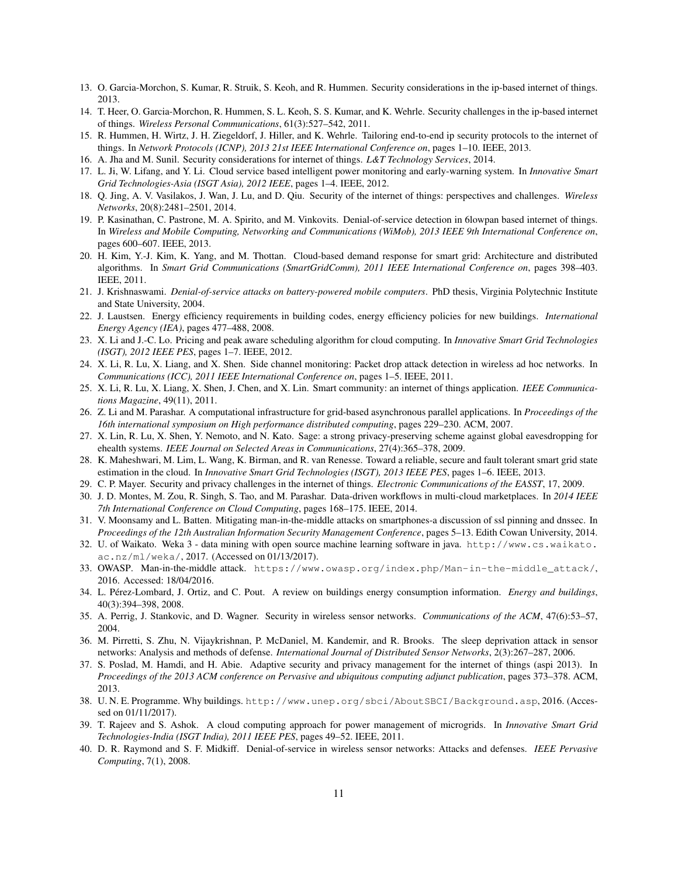- 13. O. Garcia-Morchon, S. Kumar, R. Struik, S. Keoh, and R. Hummen. Security considerations in the ip-based internet of things. 2013.
- 14. T. Heer, O. Garcia-Morchon, R. Hummen, S. L. Keoh, S. S. Kumar, and K. Wehrle. Security challenges in the ip-based internet of things. *Wireless Personal Communications*, 61(3):527–542, 2011.
- 15. R. Hummen, H. Wirtz, J. H. Ziegeldorf, J. Hiller, and K. Wehrle. Tailoring end-to-end ip security protocols to the internet of things. In *Network Protocols (ICNP), 2013 21st IEEE International Conference on*, pages 1–10. IEEE, 2013.
- 16. A. Jha and M. Sunil. Security considerations for internet of things. *L&T Technology Services*, 2014.
- 17. L. Ji, W. Lifang, and Y. Li. Cloud service based intelligent power monitoring and early-warning system. In *Innovative Smart Grid Technologies-Asia (ISGT Asia), 2012 IEEE*, pages 1–4. IEEE, 2012.
- 18. Q. Jing, A. V. Vasilakos, J. Wan, J. Lu, and D. Qiu. Security of the internet of things: perspectives and challenges. *Wireless Networks*, 20(8):2481–2501, 2014.
- 19. P. Kasinathan, C. Pastrone, M. A. Spirito, and M. Vinkovits. Denial-of-service detection in 6lowpan based internet of things. In *Wireless and Mobile Computing, Networking and Communications (WiMob), 2013 IEEE 9th International Conference on*, pages 600–607. IEEE, 2013.
- 20. H. Kim, Y.-J. Kim, K. Yang, and M. Thottan. Cloud-based demand response for smart grid: Architecture and distributed algorithms. In *Smart Grid Communications (SmartGridComm), 2011 IEEE International Conference on*, pages 398–403. IEEE, 2011.
- 21. J. Krishnaswami. *Denial-of-service attacks on battery-powered mobile computers*. PhD thesis, Virginia Polytechnic Institute and State University, 2004.
- 22. J. Laustsen. Energy efficiency requirements in building codes, energy efficiency policies for new buildings. *International Energy Agency (IEA)*, pages 477–488, 2008.
- 23. X. Li and J.-C. Lo. Pricing and peak aware scheduling algorithm for cloud computing. In *Innovative Smart Grid Technologies (ISGT), 2012 IEEE PES*, pages 1–7. IEEE, 2012.
- 24. X. Li, R. Lu, X. Liang, and X. Shen. Side channel monitoring: Packet drop attack detection in wireless ad hoc networks. In *Communications (ICC), 2011 IEEE International Conference on*, pages 1–5. IEEE, 2011.
- 25. X. Li, R. Lu, X. Liang, X. Shen, J. Chen, and X. Lin. Smart community: an internet of things application. *IEEE Communications Magazine*, 49(11), 2011.
- 26. Z. Li and M. Parashar. A computational infrastructure for grid-based asynchronous parallel applications. In *Proceedings of the 16th international symposium on High performance distributed computing*, pages 229–230. ACM, 2007.
- 27. X. Lin, R. Lu, X. Shen, Y. Nemoto, and N. Kato. Sage: a strong privacy-preserving scheme against global eavesdropping for ehealth systems. *IEEE Journal on Selected Areas in Communications*, 27(4):365–378, 2009.
- 28. K. Maheshwari, M. Lim, L. Wang, K. Birman, and R. van Renesse. Toward a reliable, secure and fault tolerant smart grid state estimation in the cloud. In *Innovative Smart Grid Technologies (ISGT), 2013 IEEE PES*, pages 1–6. IEEE, 2013.
- 29. C. P. Mayer. Security and privacy challenges in the internet of things. *Electronic Communications of the EASST*, 17, 2009.
- 30. J. D. Montes, M. Zou, R. Singh, S. Tao, and M. Parashar. Data-driven workflows in multi-cloud marketplaces. In *2014 IEEE 7th International Conference on Cloud Computing*, pages 168–175. IEEE, 2014.
- 31. V. Moonsamy and L. Batten. Mitigating man-in-the-middle attacks on smartphones-a discussion of ssl pinning and dnssec. In *Proceedings of the 12th Australian Information Security Management Conference*, pages 5–13. Edith Cowan University, 2014.
- 32. U. of Waikato. Weka 3 data mining with open source machine learning software in java. http://www.cs.waikato. ac.nz/ml/weka/, 2017. (Accessed on 01/13/2017).
- 33. OWASP. Man-in-the-middle attack. https://www.owasp.org/index.php/Man-in-the-middle\_attack/, 2016. Accessed: 18/04/2016.
- 34. L. Perez-Lombard, J. Ortiz, and C. Pout. A review on buildings energy consumption information. ´ *Energy and buildings*, 40(3):394–398, 2008.
- 35. A. Perrig, J. Stankovic, and D. Wagner. Security in wireless sensor networks. *Communications of the ACM*, 47(6):53–57, 2004.
- 36. M. Pirretti, S. Zhu, N. Vijaykrishnan, P. McDaniel, M. Kandemir, and R. Brooks. The sleep deprivation attack in sensor networks: Analysis and methods of defense. *International Journal of Distributed Sensor Networks*, 2(3):267–287, 2006.
- 37. S. Poslad, M. Hamdi, and H. Abie. Adaptive security and privacy management for the internet of things (aspi 2013). In *Proceedings of the 2013 ACM conference on Pervasive and ubiquitous computing adjunct publication*, pages 373–378. ACM, 2013.
- 38. U. N. E. Programme. Why buildings. http://www.unep.org/sbci/AboutSBCI/Background.asp, 2016. (Accessed on 01/11/2017).
- 39. T. Rajeev and S. Ashok. A cloud computing approach for power management of microgrids. In *Innovative Smart Grid Technologies-India (ISGT India), 2011 IEEE PES*, pages 49–52. IEEE, 2011.
- 40. D. R. Raymond and S. F. Midkiff. Denial-of-service in wireless sensor networks: Attacks and defenses. *IEEE Pervasive Computing*, 7(1), 2008.